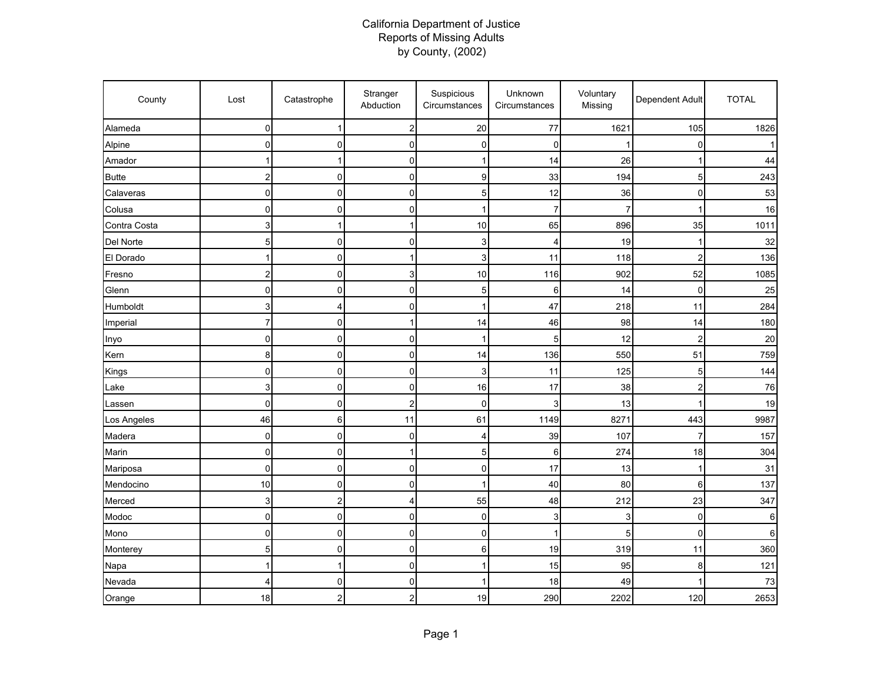## California Department of Justice Reports of Missing Adults by County, (2002)

| County       | Lost                    | Catastrophe             | Stranger<br>Abduction   | Suspicious<br>Circumstances | Unknown<br>Circumstances | Voluntary<br>Missing | Dependent Adult | <b>TOTAL</b> |
|--------------|-------------------------|-------------------------|-------------------------|-----------------------------|--------------------------|----------------------|-----------------|--------------|
| Alameda      | $\mathbf 0$             | 1                       | 2                       | 20                          | 77                       | 1621                 | 105             | 1826         |
| Alpine       | 0                       | 0                       | 0                       | 0                           | 0                        | 1                    | 0               |              |
| Amador       |                         | 1                       | 0                       | 1                           | 14                       | 26                   | 1               | 44           |
| <b>Butte</b> | 2                       | $\mathbf 0$             | 0                       | 9                           | 33                       | 194                  | 5               | 243          |
| Calaveras    | $\overline{0}$          | 0                       | 0                       | 5                           | 12                       | 36                   | $\mathbf 0$     | 53           |
| Colusa       | 0                       | 0                       | 0                       | 1                           | 7                        | 7                    |                 | 16           |
| Contra Costa | 3                       | 1                       | 1                       | 10                          | 65                       | 896                  | 35              | 1011         |
| Del Norte    | 5                       | $\mathbf 0$             | 0                       | 3                           | 4                        | 19                   |                 | 32           |
| El Dorado    | $\mathbf{1}$            | $\pmb{0}$               | 1                       | 3                           | 11                       | 118                  | $\overline{2}$  | 136          |
| Fresno       | $\overline{\mathbf{c}}$ | $\mathbf 0$             | 3                       | 10                          | 116                      | 902                  | 52              | 1085         |
| Glenn        | 0                       | 0                       | 0                       | 5                           | 6                        | 14                   | $\mathbf 0$     | 25           |
| Humboldt     | 3                       | 4                       | 0                       | 1                           | 47                       | 218                  | 11              | 284          |
| Imperial     | 7                       | 0                       | 1                       | 14                          | 46                       | 98                   | 14              | 180          |
| Inyo         | $\mathbf 0$             | $\mathbf 0$             | 0                       | 1                           | 5                        | 12                   | $\overline{2}$  | 20           |
| Kern         | 8                       | $\mathbf 0$             | 0                       | 14                          | 136                      | 550                  | 51              | 759          |
| Kings        | $\mathbf 0$             | $\mathbf 0$             | 0                       | 3                           | 11                       | 125                  | 5               | 144          |
| Lake         | 3                       | 0                       | 0                       | 16                          | 17                       | 38                   | $\overline{2}$  | 76           |
| Lassen       | 0                       | 0                       | 2                       | 0                           | 3                        | 13                   |                 | 19           |
| Los Angeles  | 46                      | 6                       | 11                      | 61                          | 1149                     | 8271                 | 443             | 9987         |
| Madera       | 0                       | 0                       | 0                       | 4                           | 39                       | 107                  | 7               | 157          |
| Marin        | 0                       | 0                       | 1                       | 5                           | 6                        | 274                  | 18              | 304          |
| Mariposa     | $\pmb{0}$               | $\pmb{0}$               | 0                       | 0                           | 17                       | 13                   | 1               | 31           |
| Mendocino    | 10                      | $\pmb{0}$               | 0                       | 1                           | 40                       | 80                   | 6               | 137          |
| Merced       | 3                       | $\overline{\mathbf{c}}$ | 4                       | 55                          | 48                       | 212                  | 23              | 347          |
| Modoc        | 0                       | 0                       | 0                       | 0                           | 3                        | 3                    | $\overline{0}$  | 6            |
| Mono         | 0                       | $\mathbf 0$             | 0                       | 0                           | 1                        | 5                    | $\Omega$        | 6            |
| Monterey     | 5                       | $\mathbf 0$             | 0                       | 6                           | 19                       | 319                  | 11              | 360          |
| Napa         | $\mathbf{1}$            | 1                       | 0                       | 1                           | 15                       | 95                   | 8               | 121          |
| Nevada       | 4                       | 0                       | 0                       | 1                           | 18                       | 49                   |                 | 73           |
| Orange       | 18                      | 2                       | $\overline{\mathbf{c}}$ | 19                          | 290                      | 2202                 | 120             | 2653         |